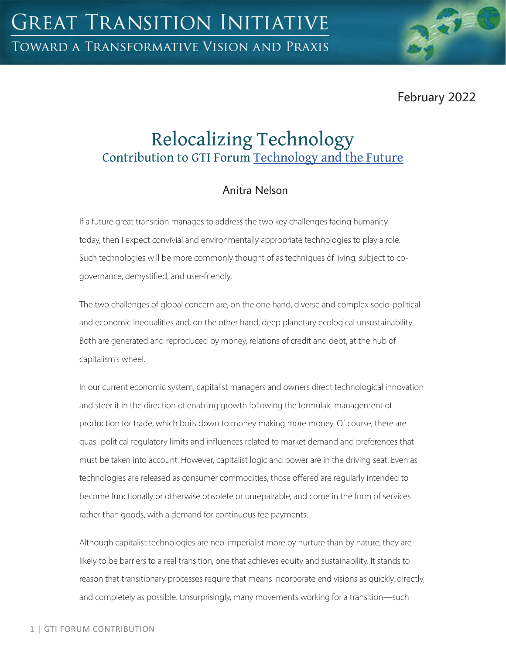

# Relocalizing Technology Contribution to GTI Forum [Technology and the Future](https://greattransition.org/gti-forum/tech-and-the-future)

## Anitra Nelson

If a future great transition manages to address the two key challenges facing humanity today, then I expect convivial and environmentally appropriate technologies to play a role. Such technologies will be more commonly thought of as techniques of living, subject to cogovernance, demystified, and user-friendly.

The two challenges of global concern are, on the one hand, diverse and complex socio-political and economic inequalities and, on the other hand, deep planetary ecological unsustainability. Both are generated and reproduced by money, relations of credit and debt, at the hub of capitalism's wheel.

In our current economic system, capitalist managers and owners direct technological innovation and steer it in the direction of enabling growth following the formulaic management of production for trade, which boils down to money making more money. Of course, there are quasi-political regulatory limits and influences related to market demand and preferences that must be taken into account. However, capitalist logic and power are in the driving seat. Even as technologies are released as consumer commodities, those offered are regularly intended to become functionally or otherwise obsolete or unrepairable, and come in the form of services rather than goods, with a demand for continuous fee payments.

Although capitalist technologies are neo-imperialist more by nurture than by nature, they are likely to be barriers to a real transition, one that achieves equity and sustainability. It stands to reason that transitionary processes require that means incorporate end visions as quickly, directly, and completely as possible. Unsurprisingly, many movements working for a transition—such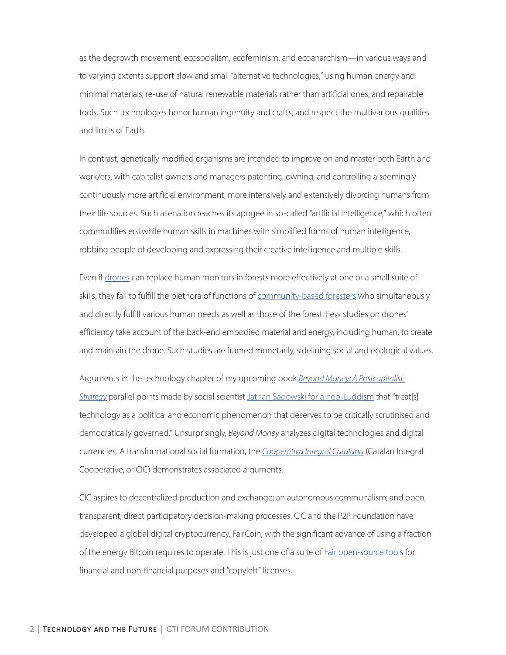as the degrowth movement, ecosocialism, ecofeminism, and ecoanarchism—in various ways and to varying extents support slow and small "alternative technologies," using human energy and minimal materials, re-use of natural renewable materials rather than artificial ones, and repairable tools. Such technologies honor human ingenuity and crafts, and respect the multivarious qualities and limits of Earth.

In contrast, genetically modified organisms are intended to improve on and master both Earth and work/ers, with capitalist owners and managers patenting, owning, and controlling a seemingly continuously more artificial environment, more intensively and extensively divorcing humans from their life sources. Such alienation reaches its apogee in so-called "artificial intelligence," which often commodifies erstwhile human skills in machines with simplified forms of human intelligence, robbing people of developing and expressing their creative intelligence and multiple skills.

Even if [drones](https://theconversation.com/drones-help-track-wildfires-count-wildlife-and-map-plants-125115) can replace human monitors in forests more effectively at one or a small suite of skills, they fail to fulfill the plethora of functions of [community-based foresters](https://wrm.org.uy/browse-by-subject/communities-and-forests/community-based-forestry/) who simultaneously and directly fulfill various human needs as well as those of the forest. Few studies on drones' efficiency take account of the back-end embodied material and energy, including human, to create and maintain the drone. Such studies are framed monetarily, sidelining social and ecological values.

Arguments in the technology chapter of my upcoming book *[Beyond Money: A Postcapitalist](https://www.plutobooks.com/9780745340111/beyond-money/)  [Strategy](https://www.plutobooks.com/9780745340111/beyond-money/)* parallel points made by social scientist [Jathan Sadowski for a neo-Luddism](https://theconversation.com/im-a-luddite-you-should-be-one-too-163172) that "treat[s] technology as a political and economic phenomenon that deserves to be critically scrutinised and democratically governed." Unsurprisingly, *Beyond Money* analyzes digital technologies and digital currencies. A transformational social formation, the *[Cooperativa Integral Catalana](https://commonstransition.org/the-catalan-integral-cooperative-an-organizational-study-of-a-post-capitalist-cooperative/)* (Catalan Integral Cooperative, or CIC) demonstrates associated arguments.

CIC aspires to decentralized production and exchange; an autonomous communalism; and open, transparent, direct participatory decision-making processes. CIC and the P2P Foundation have developed a global digital cryptocurrency, FairCoin, with the significant advance of using a fraction of the energy Bitcoin requires to operate. This is just one of a suite of [Fair open-source tools](https://second.wiki/wiki/faircoop) for financial and non-financial purposes and "copyleft" licenses.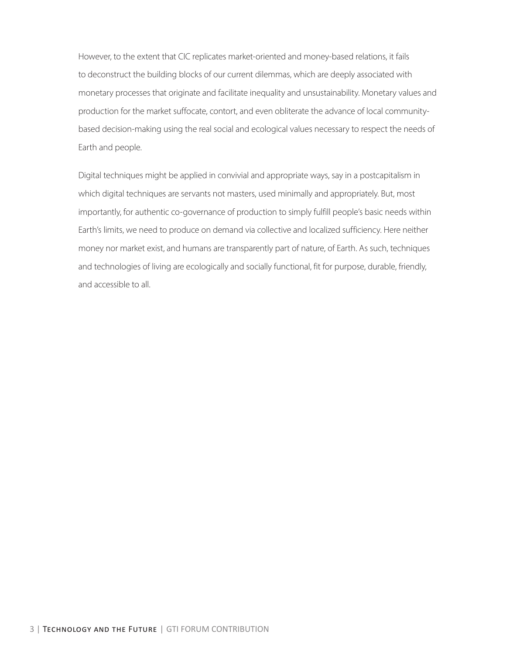However, to the extent that CIC replicates market-oriented and money-based relations, it fails to deconstruct the building blocks of our current dilemmas, which are deeply associated with monetary processes that originate and facilitate inequality and unsustainability. Monetary values and production for the market suffocate, contort, and even obliterate the advance of local communitybased decision-making using the real social and ecological values necessary to respect the needs of Earth and people.

Digital techniques might be applied in convivial and appropriate ways, say in a postcapitalism in which digital techniques are servants not masters, used minimally and appropriately. But, most importantly, for authentic co-governance of production to simply fulfill people's basic needs within Earth's limits, we need to produce on demand via collective and localized sufficiency. Here neither money nor market exist, and humans are transparently part of nature, of Earth. As such, techniques and technologies of living are ecologically and socially functional, fit for purpose, durable, friendly, and accessible to all.